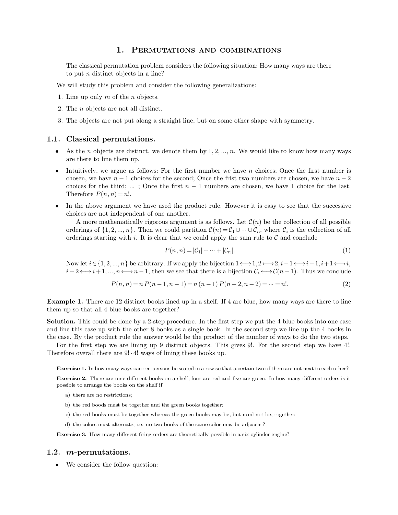1. PERMUTATIONS AND COMBINATIONS<br>
nutation problem considers the following situation: How many ways are **1. PERMUTATIONS AND COMBINATIONS**<br>The classical permutation problem considers the following situation: How many ways are there<br>to put *n* distinct objects in a line? **1. PERMUTATIO**<br>The classical permutation problem conside<br>to put *n* distinct objects in a line?<br>will study this problem and consider the f **1. PERMUTATIONS AND COMBINATIC**<br>The classical permutation problem considers the following situation: However the *n* distinct objects in a line?<br>We will study this problem and consider the following generalizations:<br>1. L The classical permutation problem co<br>to put *n* distinct objects in a line?<br>We will study this problem and consider<br>1. Line up only *m* of the *n* objects.<br>2. The *n* objects are not all distinct. to put *n* distinct objects in a line?<br>We will study this problem and consider t<br>1. Line up only *m* of the *n* objects.<br>2. The *n* objects are not all distinct.<br>3. The objects are not put along a straig.

- 
- 
- 3. The *n* objects are not all distinct.<br>
3. The objects are not put along a straight line, but on some other shape with symmetry.

- 1. Line up only  $m$  of the  $n$  objects.<br>
2. The  $n$  objects are not all distinct.<br>
3. The objects are not put along a straight line, but on some other shape with symmetry.<br> **1.1. Classical permutations.**<br>
 As the  $n$  o
	- **1. Classical permutations.**<br> **1. Classical permutations.**<br> **4. As** the *n* objects are distinct, we denote them by 1, 2, ..., *n*. We would like to know how many ways are there to line them up.<br> **4.** Intuitively, we ar **Classical permutations.**<br>As the *n* objects are distinct, we denote them by 1, 2, ..., *n*. We would like to know how many ways<br>are there to line them up.<br>Intuitively, we argue as follows: For the first number we have *n* As the *n* objects are distinct, we denote them by 1, 2, ..., *n*. We would like to know how many ways are there to line them up.<br>Intuitively, we argue as follows: For the first number we have *n* choices; Once the first • Intuitively, we argue as follows: For the first number we have *n* choices; Once the first number is chosen, we have *n* − 1 choices for the second; Once the frist two numbers are chosen, we have *n* − 2 choices for th Intuitively, we argue as follows: For the first number we have *n* choices; Once the first number is chosen, we have  $n-1$  choices for the second; Once the frist two numbers are chosen, we have  $n-2$  choices for the third
	-

ices for the third; ... ; Once the first  $n - 1$  numbers are chosen, we have 1 choice for the last.<br>erefore  $P(n, n) = n!$ .<br>the above argument we have used the product rule. However it is easy to see that the successive<br>ices a Therefore  $P(n, n) = n!$ .<br>
In the above argument we have used the product rule. However it is easy to see that the successive<br>
choices are not independent of one another.<br>
A more mathematically rigorous argument is as follows In the above argument we have used the product rule. However it is easy to see that the succe<br>choices are not independent of one another.<br>A more mathematically rigorous argument is as follows. Let  $C(n)$  be the collection another.<br> *R* is argument is as follows. Let  $C(n)$  be the collection of all possible<br>
could partition  $C(n) = C_1 \cup \cdots \cup C_n$ , where  $C_i$  is the collection of all<br> *P*(*n*, *n*) =  $|C_1| + \cdots + |C_n|$ .<br> *P*(*n*, *n*) =  $|C_1| + \cdots +$ Now let *i***2** {1, 2, ..., *n***}**. Then we could partition  $C(n) = C_1 \cup \cdots \cup C_n$ , where  $C_i$  is the collection of all orderings starting with *i*. It is clear that we could apply the sum rule to  $C$  and conclude  $P(n, n) = |C_1$ 

$$
P(n,n) = |\mathcal{C}_1| + \dots + |\mathcal{C}_n|.\tag{1}
$$

*i* orderings starting with *i*. It is clear that we could apply the sum rule to *C* and conclude<br>  $P(n, n) = |C_1| + \dots + |C_n|$ . (1)<br>
Now let  $i \in \{1, 2, ..., n\}$  be arbitrary. If we apply the bijection  $1 \leftrightarrow 1, 2 \leftrightarrow 2, i-1 \leftrightarrow i-1, i+1 \leftrightarrow i$ Now let  $i \in \{1, 2, ..., n\}$  be arbitrary. If we apply the bijection  $1 \leftrightarrow 1, 2 \leftrightarrow 2, i-1 \leftrightarrow i-1, i+1 \leftrightarrow i, i+2 \leftrightarrow i+1, ..., n \leftrightarrow n-1$ , then we see that there is a bijection  $C_i \leftrightarrow C(n-1)$ . Thus we conclude

$$
P(n,n) = n P(n-1,n-1) = n (n-1) P(n-2,n-2) = \dots = n!.
$$
\n(2)

Now let  $i \in \{1, 2, ..., n\}$  be arbitrary. If we apply the bijection  $1 \leftrightarrow 1, 2 \leftrightarrow 2, i-1 \leftrightarrow i-1, i+1 \leftrightarrow i$ ,  $i+2 \leftrightarrow i+1, ..., n \leftrightarrow n-1$ , then we see that there is a bijection  $C_i \leftrightarrow C(n-1)$ . Thus we conclude  $P(n, n) = n P(n-1, n-1) = n (n-1) P(n-2, n-2) = \dots$  $i+2 \leftrightarrow i+1, ..., n \leftrightarrow n-1$ , then we see that to  $P(n, n) = n P(n-1, n-1) = n$  (<br> **Example 1.** There are 12 distinct books lined up in a them up so that all 4 blue books are together?<br> **Solution.** This could be done by a 2-step procedure.

**Example 1.** There are 12 distinct books lined up in a shelf. If 4 are blue, how many ways are there to line them up so that all 4 blue books are together?<br>**Solution.** This could be done by a 2-step procedure. In the firs **Example 1.** There are 12 distinct books lined up in a shelf. If 4 are blue, how many ways are there to line them up so that all 4 blue books are together?<br>**Solution.** This could be done by a 2-step procedure. In the first **Example 1.** There are 12 distinct books lined up in a shelf. If 4 are blue, how many ways are there to line them up so that all 4 blue books are together?<br>**Solution.** This could be done by a 2-step procedure. In the first **Solution.** This could be done by a 2-step procedure. In the first step we put the 4 blue books into one case and line this case up with the other 8 books as a single book. In the second step we line up the 4 books in the

**Exercise 1.** In how many ways can ten persons be seated in a row so that a certain two of them are not next to each other?<br>**Exercise 1.** In how many ways can ten persons be seated in a row so that a certain two of them ar

**Exercise 1.** In how many ways can ten persons be seated in a row so that a certain two of them are not next to each other?<br> **Exercise 2.** There are nine different books on a shelf; four are red and five are green. In how **Exercise 1.** In how many ways can ten persons be seen **Exercise 2.** There are nine different books on a she possible to arrange the books on the shelf if a) there are no restrictions; b) the red boods must be together an b) the red books must be together and the green books together;<br>b) the red books must be together and the green books together;<br>c) the red books must be together whereas the green books may be, but need not be, together;<br>d

- 
- 
- a) there are no restrictions;<br>b) the red boods must be together and the green books together;<br>c) the red books must be together whereas the green books may be, but need not be, toget<br>d) the colors must alternate, i.e. no t
- 

**Exercise 3.** How many different firing orders are theoretically possible in a six cylinder engine?<br>**Exercise 3.** How many different firing orders are theoretically possible in a six cylinder engine? d) the colors must alternate, i.e. no two books of the same color may be adjacent?<br> **Exercise 3.** How many different firing orders are theoretically possible in a six cylinder engine?<br> **2.**  $m$ -permutations.<br>
We consider

## **1.2.** *m***-permutations.**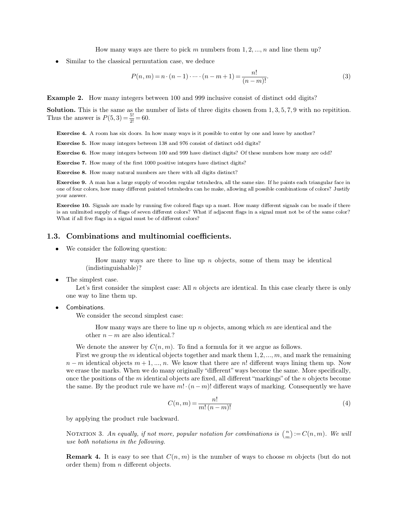How many ways are there to pick *<sup>m</sup>* numbers from <sup>1</sup>*;* <sup>2</sup>*; :::; n* and line them up? Similar to the classical permutation case, we deduce

How many ways are there to pick *m* numbers from 1, 2, ..., *n* and line them up?

\n• Similar to the classical permutation case, we deduce

\n
$$
P(n, m) = n \cdot (n - 1) \cdot \dots \cdot (n - m + 1) = \frac{n!}{(n - m)!}.
$$
\n(3)

\nExample 2. How many integers between 100 and 999 inclusive consist of distinct odd digits?

\nSolution. This is the same as the number of lists of three digits chosen from 1, 3, 5, 7, 9 with no repetition.

**Example 2.** How many integers between 100 and 999 inclusive consist of distinct odd digits?<br>**Solution.** This is the same as the number of lists of three digits chosen from 1*,* 3*,* 5*,* 7*,* 9 with no repitition.<br>Thus t **Example 2.** How many integers betwee<br>**Solution.** This is the same as the number Thus the answer is  $P(5,3) = \frac{5!}{2!} = 60$ .  $\frac{5!}{2!}$  = 60. **Let us a** the same as the number of lists of three digits chosen from 1, 3, 5, 7, 9 with no repit us the answer is  $P(5,3) = \frac{5!}{2!} = 60$ .<br>**Exercise 4.** A room has six doors. In how many ways is it possible to enter by o **Exercise 4.** A room has six doors. In how many ways is it possible to enter by one and leads<br>**Exercise 5.** How many integers between 138 and 976 consist of distinct odd digits?<br>**Exercise 6.** How many integers between 100

**Exercise 4.** A room has six doors. In how many ways is it possible to enter by one and leave by another?<br>**Exercise 5.** How many integers between 138 and 976 consist of distinct odd digits?<br>**Exercise 6.** How many integers **Exercise 4.** A room has six doors. In how many ways is it possible to enter by one an **Exercise 5.** How many integers between 138 and 976 consist of distinct odd digits? **Exercise 6.** How many integers between 100 and 999 **Exercise 5.** How many integers between 138 and 976 consist of distinct odd digits?<br>**Exercise 6.** How many integers between 100 and 999 have distinct digits? Of these<br>**Exercise 7.** How many of the first 1000 positive integ

**Exercise 6.** How many integers between 100 and 999 have distinct digits? Of these numbers how many are odd?<br>**Exercise 7.** How many of the first 1000 positive integers have distinct digits?<br>**Exercise 8.** How many natural n **Exercise 7.** How many of the first 1000 positive integers have distinct digits?<br> **Exercise 8.** How many natural numbers are there with all digits distinct?<br> **Exercise 9.** A man has a large supply of wooden regular tetrahe **Exercise 8.** How many natural numbers are there with all digits distinct?<br> **Exercise 9.** A man has a large supply of wooden regular tetrahedra, all the same size. If he paints each triangular face in one of four colors, h **Exercise 9.** A man has a large supply of wooden regular tetrahedra, all the same size. If he paints each triangular face in<br>one of four colors, how many different painted tetrahedra can he make, allowing all possible comb

Exercise 9. A man has a large supply of wooden regular tetrahedra, all the same size. If he paints each triangular face in<br>one of four colors, how many different painted tetrahedra can he make, allowing all possible combin one of four colors, how many different painted tetrahedra can he mal<br>your answer.<br>**Exercise 10.** Signals are made by running five colored flags up a r<br>is an unlimited supply of flags of seven different colors? What if ad<br>W **1.3. Combinations and multinomial coefficients.**<br> **1.3. Combinations and multinomial coefficients.**<br> **1.3. Combinations and multinomial coefficients.**<br> **1.3. Combinations and multinomial coefficients.**<br> **1.8. IV** 

How many ways are there to line up *n* objects, some of them may be identical listinguishable)? (indistinguishable)? • We consider the followi<br>How many v<br>(indistinguishab.)<br>• The simplest case.<br>Let's first consider t

Consider the simplestion:<br>How many ways are there to line up *n* objects, some of them may be identical<br>(indistinguishable)?<br>e simplest case.<br>Let's first consider the simplest case: All *n* objects are identical. In this How many ways are<br>
(indistinguishable)?<br>
• The simplest case.<br>
Let's first consider the simp<br>
one way to line them up.<br>
• Combinations. Equality of the simplest case: All  $n$  way to line them up.<br>which is the simplest case: All  $n$  way to line them up.<br>which is the second simplest case:<br>We consider the second simplest case:<br>How many ways are there to line

For many extends in this case. All *n* objects are identical. In this case clearly there is only  $\alpha$  in the them up.<br>
Soms.<br>
How many ways are there to line up *n* objects, among which *m* are identical and the<br>
Equal on v to line them up.<br>
aations.<br>
consider the second simplest case:<br>
How many ways are there to line up<br>
other  $n - m$  are also identical.?<br>
denote the answer by  $C(n, m)$ . To find Combinations.<br>We consider the second simplest case:<br>How many ways are there to line up *n* objects, among which *m* are identical and the<br>other  $n - m$  are also identical.?<br>We denote the answer by  $C(n, m)$ . To find a formula

First we group the *m* identical objects we group the *m* in the other  $n - m$  are also identical.?<br>We denote the answer by  $C(n, m)$ . To find a formula for it we argue as follows.<br>First we group the *m* identical objects tog *How many ways are there to line up <i>n* objects, among which *m* are identical and the other  $n - m$  are also identical.?<br> *We* denote the answer by  $C(n, m)$ . To find a formula for it we argue as follows.<br> *First* we group t other  $n - m$  are also identical.?<br>We denote the answer by  $C(n, m)$ . To find a formula for it we argue as follows.<br>First we group the m identical objects together and mark them 1, 2, ..., m, and mark the remaining<br> $n - m$  iden We denote the answer by  $C(n, m)$ . To find a formula for it we argue as follows.<br>First we group the *m* identical objects together and mark them 1, 2, ..., *m*, and mark the remaining  $n - m$  identical objects  $m + 1, ..., n$ . We k We denote the answer by  $C(n, m)$ . To find a formula for it we argue as follows.<br>First we group the *m* identical objects together and mark them 1, 2, ..., *m*, and mark the remaining  $n - m$  identical objects  $m + 1, ..., n$ . We k we erase the marks. When we do many originally "different" ways become the same. More specifically, once the positions of the *m* identical objects are fixed, all different "markings" of the *n* objects become the same. B the same. By the product rule we have  $m! \cdot (n-m)!$  different ways of marking. Consequently we have

$$
C(n,m) = \frac{n!}{m!\,(n-m)!} \tag{4}
$$

 $C(n, m) = \frac{n!}{m! (n-m)!}$ <br>by applying the product rule backward.<br>NOTATION 3. An equally, if not more, popular notation for combinations is  $\binom{n}{m} := C(n, m)$ <br>use both notations in the following.  $\lambda - C(n)$  $:= C(n,m). \ \ We \ will$ *use both notations in the product rule backward.*<br> *NOTATION 3. An equally, if not more, puse both notations in the following.* **Remark 4.** It is easy to see that  $C(n, m)$  is the number of ways to choose *m* objects (but do not order them) from *n* different objects. NOTATION 3. An equally, if not more, use both notations in the following.<br>**Remark 4.** It is easy to see that  $C(r)$  order them) from n different objects.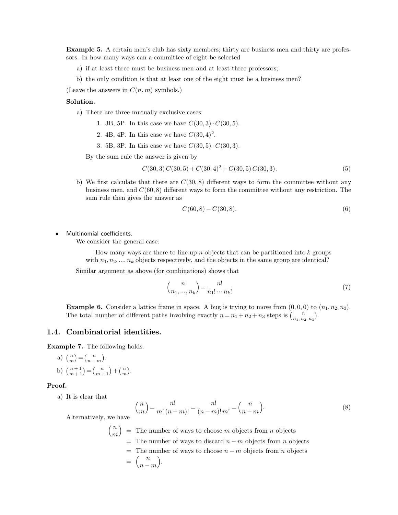**Example 5.** A certain men's club has sixty members; thirty are business men and thirty are profes-**Example 5.** A certain men's club has sixty members; thirty are busin sors. In how many ways can a committee of eight be selected a) if at least three must be business men and at least three profess **ample 5.** A certain men's club has sixty members; thirty are business men i. In how many ways can a committee of eight be selected a) if at least three must be business men and at least three professors; b) the only condi **ample 5.** A certain men's club has sixty members; thirty are business men and thirty as. In how many ways can a committee of eight be selected a) if at least three must be business men and at least three professors; b) t sors. In how many ways can a committee of eight be selected<br>a) if at least three must be business men and at least three professors;<br>b) the only condition is that at least one of the eight must be a busine<br>(Leave the answ

- 
- b) the only condition is that at least one of the eight must be a business men?<br>ave the answers in  $C(n, m)$  symbols.)<br>**lution.**<br>a) There are three mutually exclusive cases:<br>1. 3B, 5P. In this case we have  $C(30, 3) \cdot C(30,$

# **Solution.**

- 
- 1. 3B, 5P. In this case we have  $C(30,3) \cdot C(30,5)$ .<br>
2. 4B, 4P. In this case we have  $C(30,4)^2$ .<br>
3. 5B, 3P. In this case we have  $C(30,5) \cdot C(30,3)$ . There are three mutually exclusive cases:<br>
1. 3B, 5P. In this case we have  $C(30,3) \cdot C(30,5)$ .<br>
2. 4B, 4P. In this case we have  $C(30,4)^2$ .<br>
3. 5B, 3P. In this case we have  $C(30,5) \cdot C(30,3)$ .<br>
By the sum rule the answer
	- 2. 4B, 4P. In this case we have  $C(30, 4)^2$ .
	-

$$
C(30,3) C(30,5) + C(30,4)^2 + C(30,5) C(30,3). \tag{5}
$$

3. 5B, 3P. In this case we have  $C(30,5) \cdot C(30,3)$ .<br>By the sum rule the answer is given by<br> $C(30,3) C(30,5) + C(30,4)^2 + C(30,5) C(30,3)$ . (5)<br>b) We first calculate that there are  $C(30,8)$  different ways to form the committee By the sum rule the answer is given by<br>  $C(30,3) C(30,5) + C(30,4)^2 + C(30,5) C(30,3)$ . (5)<br>
We first calculate that there are  $C(30,8)$  different ways to form the committee without any<br>
business men, and  $C(60,8)$  different wa  $C(30,3) C(30,5) + C($ <br>We first calculate that there are  $C(30,8)$ <br>business men, and  $C(60,8)$  different ways<br>sum rule then gives the answer as<br> $C(60,8)$ sum rule then gives t<br>Multinomial coefficients.<br>We consider the general

$$
C(60,8) - C(30,8). \tag{6}
$$

Multinomial coefficients.<br>We consider the general case:

How many ways are there to line up *<sup>n</sup>* objects that can be partitioned into *<sup>k</sup>* groups mial coefficients.<br>
consider the general case:<br>
How many ways are there to line up *n* objects that can be partitioned into *k* groups<br>
with  $n_1, n_2, ..., n_k$  objects respectively, and the objects in the same group are identi It inomial coefficients.<br>We consider the general case:<br>How many ways are there to line up *n* objects that can be<br>with  $n_1, n_2, ..., n_k$  objects respectively, and the objects in the<br>Similar argument as above (for combinations

Let 
$$
\omega
$$
 in the  $\omega$  is the same group are identical?

\ncombinations) shows that

\n
$$
\binom{n}{n_1, \dots, n_k} = \frac{n!}{n_1! \cdots n_k!}
$$
\n(7)

\nThen in space. A, but is trying to many from (0, 0, 0), to  $(n_1, n_2, n_3)$ .

Similar argument as above (for combinations) shows that<br>  ${n \choose n_1, ..., n_k} = \frac{n!}{n_1! \cdots n_k!}$  (7)<br> **Example 6.** Consider a lattice frame in space. A bug is trying to move from  $(0, 0, 0)$  to  $(n_1, n_2, n_3)$ .<br>
The total number of **Example 6.** Consider a lattice frame in space. A bug is trying to move from  $(0,0,0)$  to  $(n_1,n_2,n_3)$ . . **1.4. Combinatorial identities.**<br>**1.4. Combinatorial identities.**<br>**Example 7.** The following holds. **Example 6.** Consider a lattice<br>The total number of different pa<br>1.4. **Combinatorial identities**<br>**Example 7.** The following holds.<br>a)  $\binom{n}{r} = \binom{n}{r}$ .

**Example 7.** The following holds.

\n- a) 
$$
\binom{n}{m} = \binom{n}{n-m}
$$
.
\n- b)  $\binom{n+1}{m+1} = \binom{n}{m+1} + \binom{n}{m}$ .
\n- oof.
\n- a) It is clear that  $\binom{n}{m} = -\frac{1}{n-m}$ .
\n

## **Proof.**

$$
\binom{n}{m} = \frac{n!}{m!(n-m)!} = \frac{n!}{(n-m)!m!} = \binom{n}{n-m}.
$$
\n(8)

It is clear that  $\binom{n}{m}$ :<br>Alternatively, we have  $\binom{n}{m}$  – The results

we have  
\n
$$
{n \choose m} = \frac{n!}{m! (n-m)!} = \frac{n!}{(n-m)! m!} = {n \choose n-m}.
$$
\nwe have  
\n
$$
{n \choose m} =
$$
\nThe number of ways to choose *m* objects from *n* objects  
\n= The number of ways to discover *n* – *m* objects from *n* objects  
\n= The number of ways to choose *n* – *m* objects from *n* objects  
\n=  ${n \choose n-m}$ .